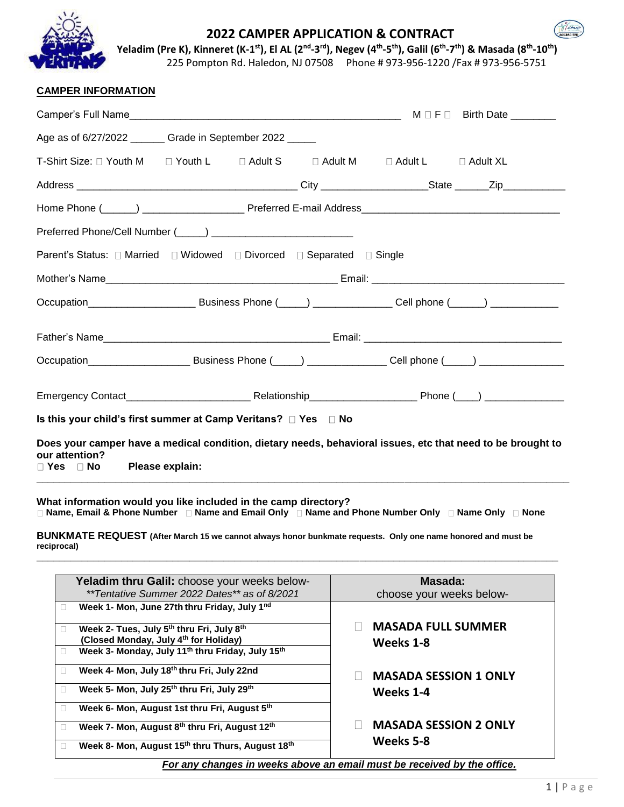

## **2022 CAMPER APPLICATION & CONTRACT**



Yeladim (Pre K), Kinneret (K-1<sup>st</sup>), El AL (2<sup>nd</sup>-3<sup>rd</sup>), Negev (4<sup>th</sup>-5<sup>th</sup>), Galil (6<sup>th</sup>-7<sup>th</sup>) & Masada (8<sup>th</sup>-10<sup>th</sup>)

225 Pompton Rd. Haledon, NJ 07508 Phone # 973-956-1220 /Fax # 973-956-5751

| <b>CAMPER INFORMATION</b> |
|---------------------------|
|---------------------------|

| Age as of 6/27/2022 _______ Grade in September 2022 _____                                                                                                                |  |  |  |  |  |  |
|--------------------------------------------------------------------------------------------------------------------------------------------------------------------------|--|--|--|--|--|--|
| T-Shirt Size: □ Youth M   □ Youth L    □ Adult S    □ Adult M    □ Adult L    □ Adult XL                                                                                 |  |  |  |  |  |  |
|                                                                                                                                                                          |  |  |  |  |  |  |
|                                                                                                                                                                          |  |  |  |  |  |  |
|                                                                                                                                                                          |  |  |  |  |  |  |
| Parent's Status: □ Married □ Widowed □ Divorced □ Separated □ Single                                                                                                     |  |  |  |  |  |  |
|                                                                                                                                                                          |  |  |  |  |  |  |
|                                                                                                                                                                          |  |  |  |  |  |  |
|                                                                                                                                                                          |  |  |  |  |  |  |
|                                                                                                                                                                          |  |  |  |  |  |  |
|                                                                                                                                                                          |  |  |  |  |  |  |
| Is this your child's first summer at Camp Veritans? □ Yes □ No                                                                                                           |  |  |  |  |  |  |
| Does your camper have a medical condition, dietary needs, behavioral issues, etc that need to be brought to<br>our attention?<br>Please explain:<br>$\Box$ Yes $\Box$ No |  |  |  |  |  |  |

**What information would you like included in the camp directory? Name, Email & Phone Number Name and Email Only Name and Phone Number Only Name Only None**

**BUNKMATE REQUEST (After March 15 we cannot always honor bunkmate requests. Only one name honored and must be reciprocal)**

**\_\_\_\_\_\_\_\_\_\_\_\_\_\_\_\_\_\_\_\_\_\_\_\_\_\_\_\_\_\_\_\_\_\_\_\_\_\_\_\_\_\_\_\_\_\_\_\_\_\_\_\_\_\_\_\_\_\_\_\_\_\_\_\_\_\_\_\_\_\_\_\_\_\_\_\_\_\_\_\_\_\_\_\_\_\_\_\_\_\_\_\_**

|                                                                         | Yeladim thru Galil: choose your weeks below-                             | Masada:                      |  |  |  |
|-------------------------------------------------------------------------|--------------------------------------------------------------------------|------------------------------|--|--|--|
|                                                                         | **Tentative Summer 2022 Dates** as of 8/2021                             | choose your weeks below-     |  |  |  |
| ш                                                                       | Week 1- Mon, June 27th thru Friday, July 1nd                             |                              |  |  |  |
|                                                                         |                                                                          |                              |  |  |  |
| П                                                                       | Week 2- Tues, July 5th thru Fri, July 8th                                | <b>MASADA FULL SUMMER</b>    |  |  |  |
|                                                                         | (Closed Monday, July 4 <sup>th</sup> for Holiday)                        | Weeks 1-8                    |  |  |  |
|                                                                         | Week 3- Monday, July 11 <sup>th</sup> thru Friday, July 15 <sup>th</sup> |                              |  |  |  |
|                                                                         |                                                                          |                              |  |  |  |
|                                                                         | Week 4- Mon, July 18th thru Fri, July 22nd                               | <b>MASADA SESSION 1 ONLY</b> |  |  |  |
|                                                                         | Week 5- Mon, July 25th thru Fri, July 29th                               | Weeks 1-4                    |  |  |  |
|                                                                         |                                                                          |                              |  |  |  |
| ш                                                                       | Week 6- Mon, August 1st thru Fri, August 5th                             |                              |  |  |  |
|                                                                         | Week 7- Mon, August 8th thru Fri, August 12th                            | <b>MASADA SESSION 2 ONLY</b> |  |  |  |
|                                                                         |                                                                          |                              |  |  |  |
| ш                                                                       | Week 8- Mon, August 15th thru Thurs, August 18th                         | Weeks 5-8                    |  |  |  |
| For any changes in weeks above an email must be received by the office. |                                                                          |                              |  |  |  |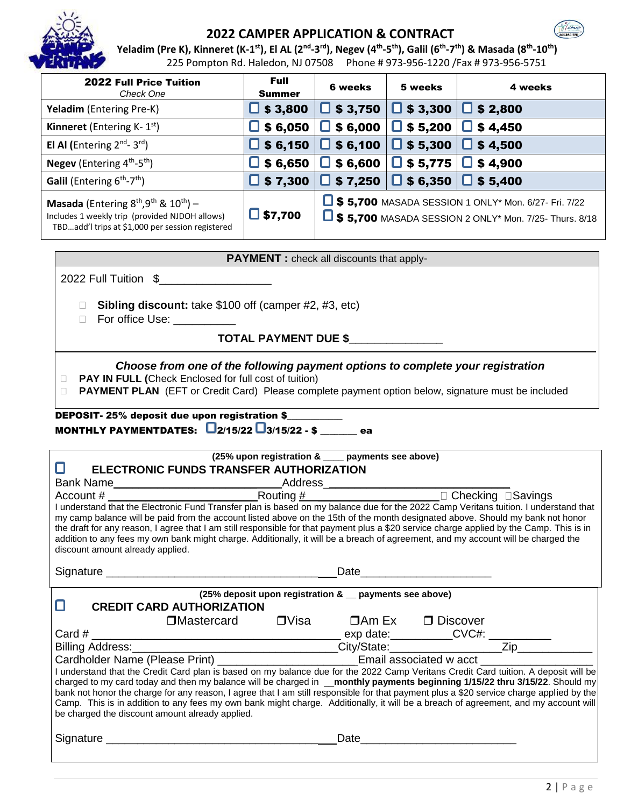

# **2022 CAMPER APPLICATION & CONTRACT**



Yeladim (Pre K), Kinneret (K-1<sup>st</sup>), El AL (2<sup>nd</sup>-3<sup>rd</sup>), Negev (4<sup>th</sup>-5<sup>th</sup>), Galil (6<sup>th</sup>-7<sup>th</sup>) & Masada (8<sup>th</sup>-10<sup>th</sup>) 225 Pompton Rd. Haledon, NJ 07508 Phone # 973-956-1220 /Fax # 973-956-5751

| <b>2022 Full Price Tuition</b><br>Check One                                                                                                    | <b>Full</b><br><b>Summer</b> | <b>6 weeks</b>  | 5 weeks                                         | 4 weeks                                                                                                           |
|------------------------------------------------------------------------------------------------------------------------------------------------|------------------------------|-----------------|-------------------------------------------------|-------------------------------------------------------------------------------------------------------------------|
| <b>Yeladim</b> (Entering Pre-K)                                                                                                                | $\Box$ \$ 3,800              | $\Box$ \$ 3,750 | $\Box$ \$3,300 $\Box$ \$2,800                   |                                                                                                                   |
| <b>Kinneret</b> (Entering K- $1st$ )                                                                                                           | $\Box$ \$ 6,050              | $\Box$ \$ 6,000 | $\Box$ \$ 5,200                                 | $\Box$ \$4,450                                                                                                    |
| El Al (Entering $2^{nd}$ - 3rd)                                                                                                                | $\Box$ \$ 6,150              | $\Box$ \$ 6,100 | $\Box$ \$ 5,300 $\Box$ \$ 4,500                 |                                                                                                                   |
| <b>Negev</b> (Entering $4^{\text{th}}-5^{\text{th}}$ )                                                                                         | $\Box$ \$ 6,650              | $\Box$ \$ 6,600 | $\Box$ \$ 5,775 $\Box$ \$ 4,900                 |                                                                                                                   |
| <b>Galil</b> (Entering $6^{th}$ - $7^{th}$ )                                                                                                   | $\Box$ \$ 7,300              |                 | $\Box$ \$ 7,250 $\Box$ \$ 6,350 $\Box$ \$ 5,400 |                                                                                                                   |
| Masada (Entering $8th, 9th$ & $10th$ ) –<br>Includes 1 weekly trip (provided NJDOH allows)<br>TBDadd'l trips at \$1,000 per session registered | $\Box$ \$7,700               |                 |                                                 | 5,700 MASADA SESSION 1 ONLY* Mon. 6/27- Fri. 7/22<br>$\Box$ \$5,700 MASADA SESSION 2 ONLY* Mon. 7/25- Thurs. 8/18 |

| <b>PAYMENT</b> : check all discounts that apply-                                                                                                                                                                                                                                               |  |  |  |  |
|------------------------------------------------------------------------------------------------------------------------------------------------------------------------------------------------------------------------------------------------------------------------------------------------|--|--|--|--|
| 2022 Full Tuition \$                                                                                                                                                                                                                                                                           |  |  |  |  |
| <b>Sibling discount:</b> take \$100 off (camper #2, #3, etc)<br>For office Use: The control of the control of the control of the control of the control of the control of the control of the control of the control of the control of the control of the control of the control of the control |  |  |  |  |
| <b>TOTAL PAYMENT DUE \$</b>                                                                                                                                                                                                                                                                    |  |  |  |  |
| Choose from one of the following payment options to complete your registration<br>PAY IN FULL (Check Enclosed for full cost of tuition)                                                                                                                                                        |  |  |  |  |

**PAYMENT PLAN** (EFT or Credit Card) Please complete payment option below, signature must be included

DEPOSIT- 25% deposit due upon registration \$ MONTHLY PAYMENTDATES:  $Q_{2/15/22}Q_{3/15/22}S_{2/12}$  ea

| ELECTRONIC FUNDS TRANSFER AUTHORIZATION                                                                                                                                                                                                                                                                                                                                                                                                                                                                                                                                                                         |                                                                                                      | (25% upon registration & ___ payments see above) |  |  |  |
|-----------------------------------------------------------------------------------------------------------------------------------------------------------------------------------------------------------------------------------------------------------------------------------------------------------------------------------------------------------------------------------------------------------------------------------------------------------------------------------------------------------------------------------------------------------------------------------------------------------------|------------------------------------------------------------------------------------------------------|--------------------------------------------------|--|--|--|
|                                                                                                                                                                                                                                                                                                                                                                                                                                                                                                                                                                                                                 |                                                                                                      |                                                  |  |  |  |
| Bank Name Maccount # Maccount # Maccount # Maccount # Maccount # Maccount # Maccount # Maccount # Maccount # Maccount # Maccount # Maccount # Maccount # Maccount # Maccount # Maccount # Maccount # Maccount # Maccount # Mac                                                                                                                                                                                                                                                                                                                                                                                  |                                                                                                      |                                                  |  |  |  |
| I understand that the Electronic Fund Transfer plan is based on my balance due for the 2022 Camp Veritans tuition. I understand that<br>my camp balance will be paid from the account listed above on the 15th of the month designated above. Should my bank not honor<br>the draft for any reason, I agree that I am still responsible for that payment plus a \$20 service charge applied by the Camp. This is in<br>addition to any fees my own bank might charge. Additionally, it will be a breach of agreement, and my account will be charged the<br>discount amount already applied.                    |                                                                                                      |                                                  |  |  |  |
|                                                                                                                                                                                                                                                                                                                                                                                                                                                                                                                                                                                                                 |                                                                                                      |                                                  |  |  |  |
| (25% deposit upon registration & _ payments see above)<br><b>CREDIT CARD AUTHORIZATION</b><br>ш                                                                                                                                                                                                                                                                                                                                                                                                                                                                                                                 |                                                                                                      |                                                  |  |  |  |
| $\Box$ Mastercard $\Box$ Visa $\Box$ Am Ex $\Box$ Discover                                                                                                                                                                                                                                                                                                                                                                                                                                                                                                                                                      |                                                                                                      |                                                  |  |  |  |
|                                                                                                                                                                                                                                                                                                                                                                                                                                                                                                                                                                                                                 |                                                                                                      |                                                  |  |  |  |
|                                                                                                                                                                                                                                                                                                                                                                                                                                                                                                                                                                                                                 |                                                                                                      |                                                  |  |  |  |
|                                                                                                                                                                                                                                                                                                                                                                                                                                                                                                                                                                                                                 | Cardholder Name (Please Print) ________________________________Email associated w acct _____________ |                                                  |  |  |  |
| understand that the Credit Card plan is based on my balance due for the 2022 Camp Veritans Credit Card tuition. A deposit will be<br>charged to my card today and then my balance will be charged in <b>__monthly payments beginning 1/15/22 thru 3/15/22</b> . Should my<br>bank not honor the charge for any reason, I agree that I am still responsible for that payment plus a \$20 service charge applied by the<br>Camp. This is in addition to any fees my own bank might charge. Additionally, it will be a breach of agreement, and my account will<br>be charged the discount amount already applied. |                                                                                                      |                                                  |  |  |  |
|                                                                                                                                                                                                                                                                                                                                                                                                                                                                                                                                                                                                                 |                                                                                                      |                                                  |  |  |  |